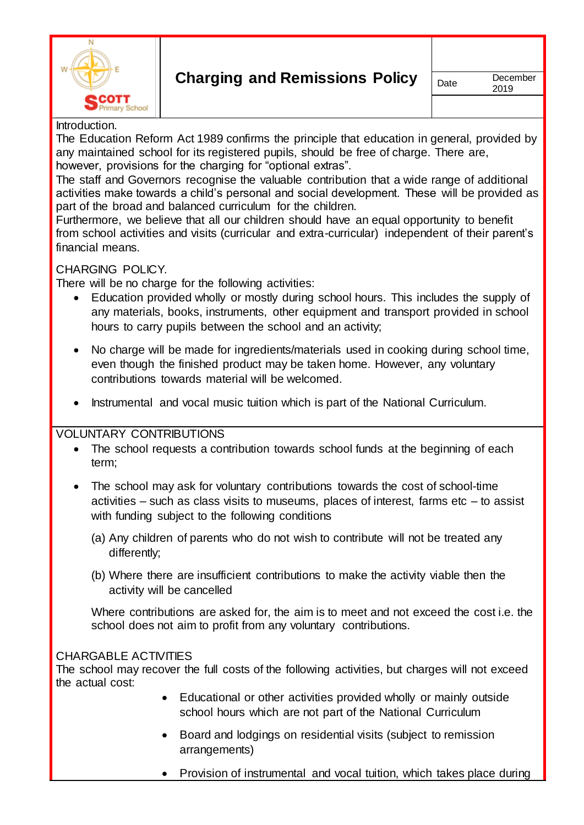

#### Introduction.

The Education Reform Act 1989 confirms the principle that education in general, provided by any maintained school for its registered pupils, should be free of charge. There are, however, provisions for the charging for "optional extras".

The staff and Governors recognise the valuable contribution that a wide range of additional activities make towards a child's personal and social development. These will be provided as part of the broad and balanced curriculum for the children.

Furthermore, we believe that all our children should have an equal opportunity to benefit from school activities and visits (curricular and extra-curricular) independent of their parent's financial means.

### CHARGING POLICY.

There will be no charge for the following activities:

- Education provided wholly or mostly during school hours. This includes the supply of any materials, books, instruments, other equipment and transport provided in school hours to carry pupils between the school and an activity;
- No charge will be made for ingredients/materials used in cooking during school time, even though the finished product may be taken home. However, any voluntary contributions towards material will be welcomed.
- Instrumental and vocal music tuition which is part of the National Curriculum.

### VOLUNTARY CONTRIBUTIONS

- The school requests a contribution towards school funds at the beginning of each term;
- The school may ask for voluntary contributions towards the cost of school-time activities  $-$  such as class visits to museums, places of interest, farms etc  $-$  to assist with funding subject to the following conditions
	- (a) Any children of parents who do not wish to contribute will not be treated any differently;
	- (b) Where there are insufficient contributions to make the activity viable then the activity will be cancelled

Where contributions are asked for, the aim is to meet and not exceed the cost i.e. the school does not aim to profit from any voluntary contributions.

#### CHARGABLE ACTIVITIES

The school may recover the full costs of the following activities, but charges will not exceed the actual cost:

- Educational or other activities provided wholly or mainly outside school hours which are not part of the National Curriculum
- Board and lodgings on residential visits (subject to remission arrangements)
- Provision of instrumental and vocal tuition, which takes place during